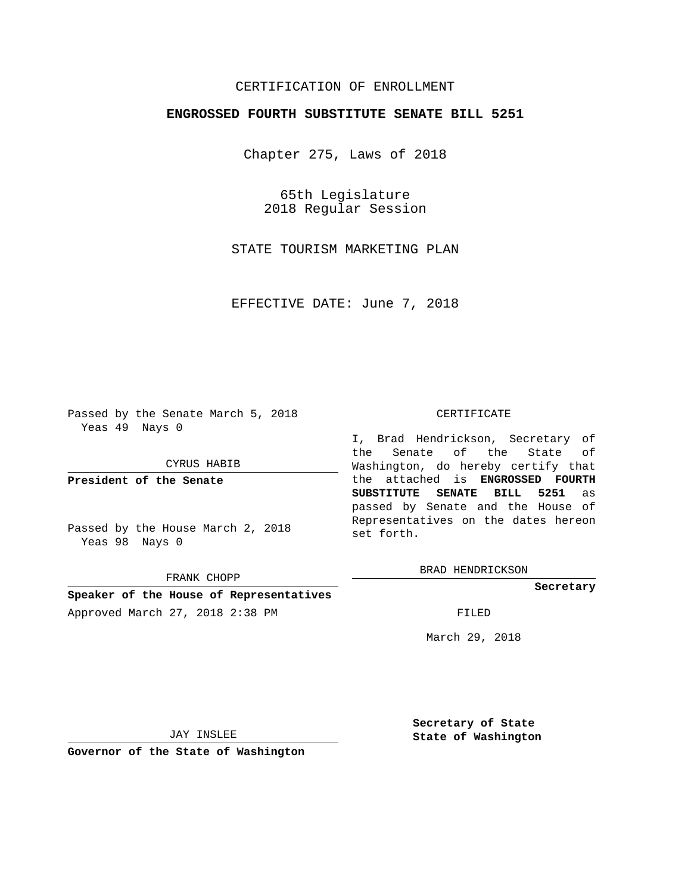# CERTIFICATION OF ENROLLMENT

### **ENGROSSED FOURTH SUBSTITUTE SENATE BILL 5251**

Chapter 275, Laws of 2018

65th Legislature 2018 Regular Session

STATE TOURISM MARKETING PLAN

EFFECTIVE DATE: June 7, 2018

Passed by the Senate March 5, 2018 Yeas 49 Nays 0

CYRUS HABIB

**President of the Senate**

Passed by the House March 2, 2018 Yeas 98 Nays 0

FRANK CHOPP

# **Speaker of the House of Representatives**

Approved March 27, 2018 2:38 PM FILED

#### CERTIFICATE

I, Brad Hendrickson, Secretary of the Senate of the State of Washington, do hereby certify that the attached is **ENGROSSED FOURTH SUBSTITUTE SENATE BILL 5251** as passed by Senate and the House of Representatives on the dates hereon set forth.

BRAD HENDRICKSON

**Secretary**

March 29, 2018

JAY INSLEE

**Governor of the State of Washington**

**Secretary of State State of Washington**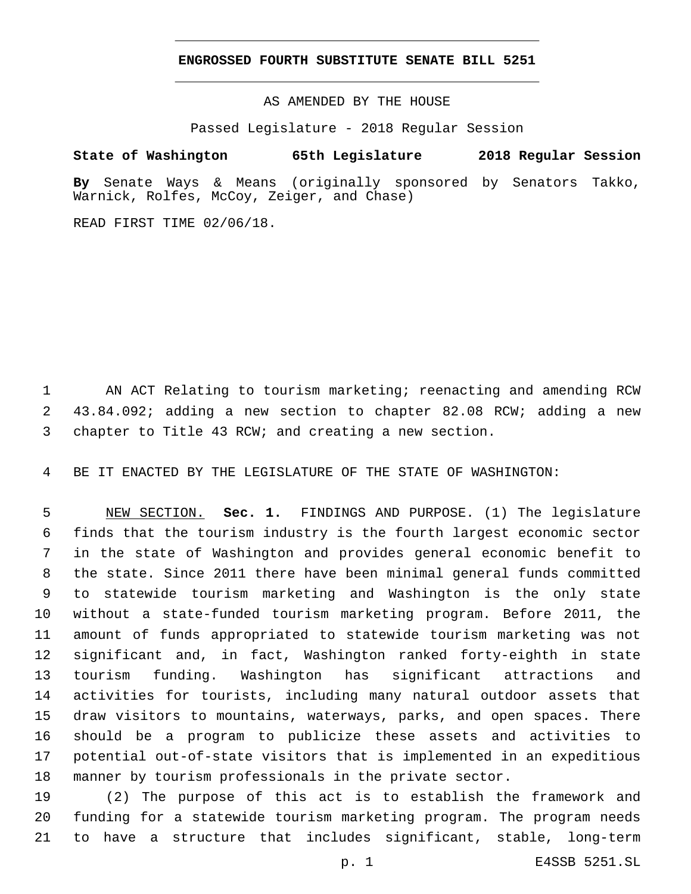## **ENGROSSED FOURTH SUBSTITUTE SENATE BILL 5251**

AS AMENDED BY THE HOUSE

Passed Legislature - 2018 Regular Session

# **State of Washington 65th Legislature 2018 Regular Session**

**By** Senate Ways & Means (originally sponsored by Senators Takko, Warnick, Rolfes, McCoy, Zeiger, and Chase)

READ FIRST TIME 02/06/18.

 AN ACT Relating to tourism marketing; reenacting and amending RCW 43.84.092; adding a new section to chapter 82.08 RCW; adding a new chapter to Title 43 RCW; and creating a new section.

BE IT ENACTED BY THE LEGISLATURE OF THE STATE OF WASHINGTON:

 NEW SECTION. **Sec. 1.** FINDINGS AND PURPOSE. (1) The legislature finds that the tourism industry is the fourth largest economic sector in the state of Washington and provides general economic benefit to the state. Since 2011 there have been minimal general funds committed to statewide tourism marketing and Washington is the only state without a state-funded tourism marketing program. Before 2011, the amount of funds appropriated to statewide tourism marketing was not significant and, in fact, Washington ranked forty-eighth in state tourism funding. Washington has significant attractions and activities for tourists, including many natural outdoor assets that draw visitors to mountains, waterways, parks, and open spaces. There should be a program to publicize these assets and activities to potential out-of-state visitors that is implemented in an expeditious manner by tourism professionals in the private sector.

 (2) The purpose of this act is to establish the framework and funding for a statewide tourism marketing program. The program needs to have a structure that includes significant, stable, long-term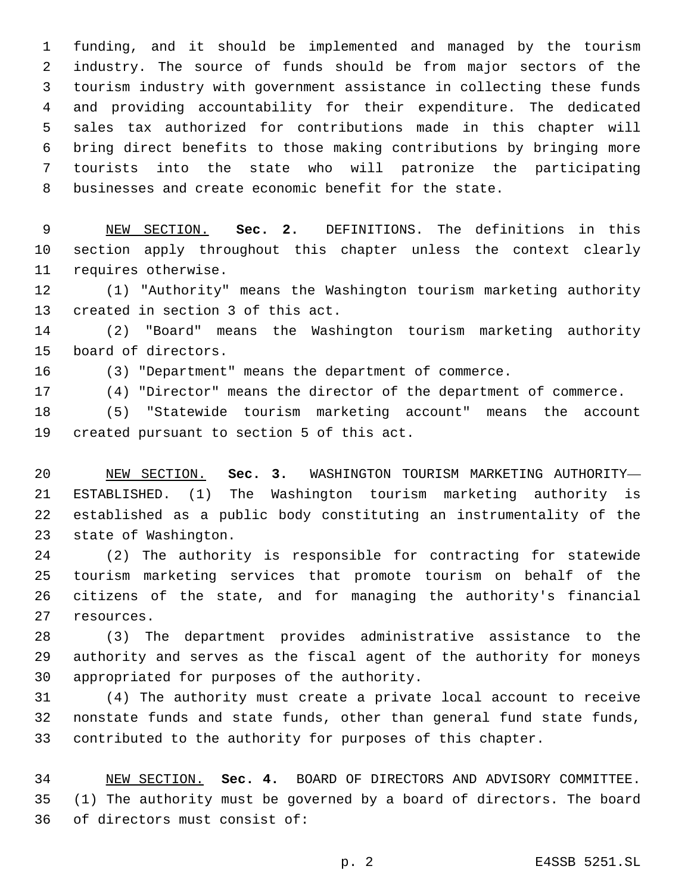funding, and it should be implemented and managed by the tourism industry. The source of funds should be from major sectors of the tourism industry with government assistance in collecting these funds and providing accountability for their expenditure. The dedicated sales tax authorized for contributions made in this chapter will bring direct benefits to those making contributions by bringing more tourists into the state who will patronize the participating businesses and create economic benefit for the state.

 NEW SECTION. **Sec. 2.** DEFINITIONS. The definitions in this section apply throughout this chapter unless the context clearly requires otherwise.

 (1) "Authority" means the Washington tourism marketing authority 13 created in section 3 of this act.

 (2) "Board" means the Washington tourism marketing authority 15 board of directors.

(3) "Department" means the department of commerce.

(4) "Director" means the director of the department of commerce.

 (5) "Statewide tourism marketing account" means the account 19 created pursuant to section 5 of this act.

 NEW SECTION. **Sec. 3.** WASHINGTON TOURISM MARKETING AUTHORITY— ESTABLISHED. (1) The Washington tourism marketing authority is established as a public body constituting an instrumentality of the state of Washington.

 (2) The authority is responsible for contracting for statewide tourism marketing services that promote tourism on behalf of the citizens of the state, and for managing the authority's financial 27 resources.

 (3) The department provides administrative assistance to the authority and serves as the fiscal agent of the authority for moneys 30 appropriated for purposes of the authority.

 (4) The authority must create a private local account to receive nonstate funds and state funds, other than general fund state funds, contributed to the authority for purposes of this chapter.

 NEW SECTION. **Sec. 4.** BOARD OF DIRECTORS AND ADVISORY COMMITTEE. (1) The authority must be governed by a board of directors. The board of directors must consist of: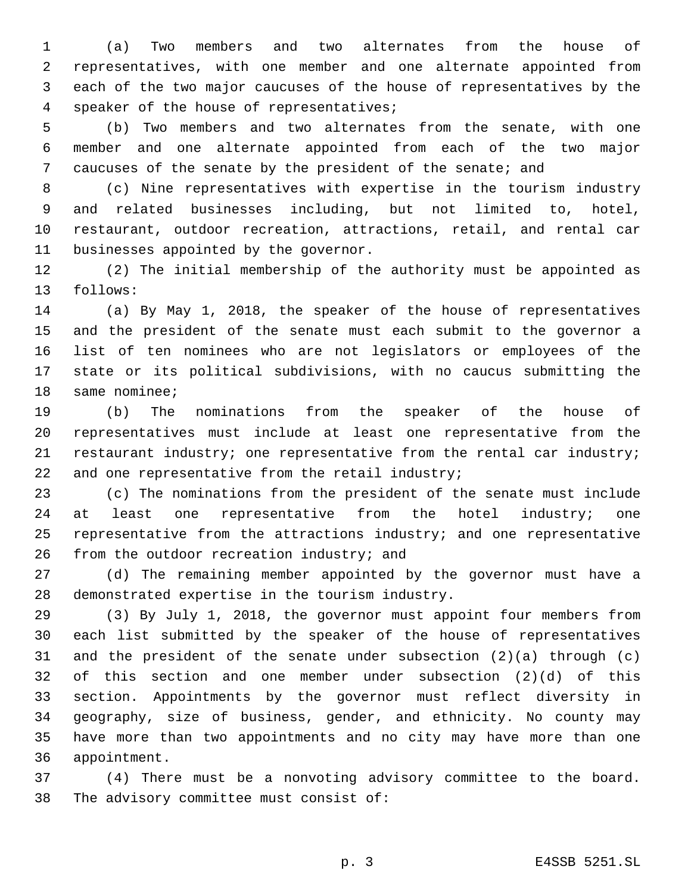(a) Two members and two alternates from the house of representatives, with one member and one alternate appointed from each of the two major caucuses of the house of representatives by the 4 speaker of the house of representatives;

 (b) Two members and two alternates from the senate, with one member and one alternate appointed from each of the two major caucuses of the senate by the president of the senate; and

 (c) Nine representatives with expertise in the tourism industry and related businesses including, but not limited to, hotel, restaurant, outdoor recreation, attractions, retail, and rental car 11 businesses appointed by the governor.

 (2) The initial membership of the authority must be appointed as 13 follows:

 (a) By May 1, 2018, the speaker of the house of representatives and the president of the senate must each submit to the governor a list of ten nominees who are not legislators or employees of the state or its political subdivisions, with no caucus submitting the 18 same nominee;

 (b) The nominations from the speaker of the house of representatives must include at least one representative from the restaurant industry; one representative from the rental car industry; 22 and one representative from the retail industry;

 (c) The nominations from the president of the senate must include 24 at least one representative from the hotel industry; one representative from the attractions industry; and one representative 26 from the outdoor recreation industry; and

 (d) The remaining member appointed by the governor must have a 28 demonstrated expertise in the tourism industry.

 (3) By July 1, 2018, the governor must appoint four members from each list submitted by the speaker of the house of representatives and the president of the senate under subsection (2)(a) through (c) of this section and one member under subsection (2)(d) of this section. Appointments by the governor must reflect diversity in geography, size of business, gender, and ethnicity. No county may have more than two appointments and no city may have more than one 36 appointment.

 (4) There must be a nonvoting advisory committee to the board. 38 The advisory committee must consist of: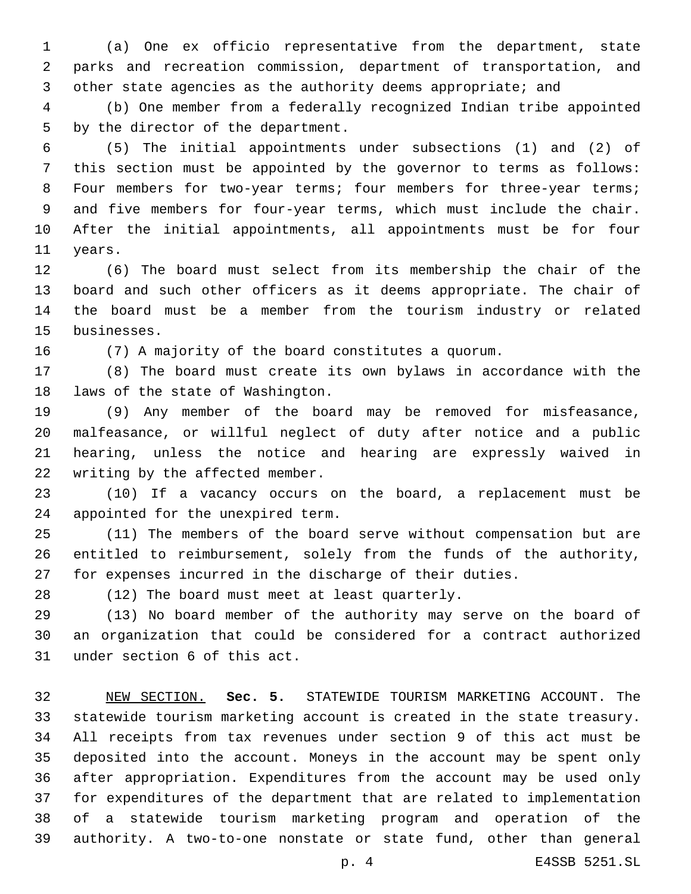(a) One ex officio representative from the department, state parks and recreation commission, department of transportation, and 3 other state agencies as the authority deems appropriate; and

 (b) One member from a federally recognized Indian tribe appointed 5 by the director of the department.

 (5) The initial appointments under subsections (1) and (2) of this section must be appointed by the governor to terms as follows: 8 Four members for two-year terms; four members for three-year terms; and five members for four-year terms, which must include the chair. After the initial appointments, all appointments must be for four 11 vears.

 (6) The board must select from its membership the chair of the board and such other officers as it deems appropriate. The chair of the board must be a member from the tourism industry or related 15 businesses.

(7) A majority of the board constitutes a quorum.

 (8) The board must create its own bylaws in accordance with the 18 laws of the state of Washington.

 (9) Any member of the board may be removed for misfeasance, malfeasance, or willful neglect of duty after notice and a public hearing, unless the notice and hearing are expressly waived in 22 writing by the affected member.

 (10) If a vacancy occurs on the board, a replacement must be 24 appointed for the unexpired term.

 (11) The members of the board serve without compensation but are entitled to reimbursement, solely from the funds of the authority, for expenses incurred in the discharge of their duties.

28 (12) The board must meet at least quarterly.

 (13) No board member of the authority may serve on the board of an organization that could be considered for a contract authorized 31 under section 6 of this act.

 NEW SECTION. **Sec. 5.** STATEWIDE TOURISM MARKETING ACCOUNT. The statewide tourism marketing account is created in the state treasury. All receipts from tax revenues under section 9 of this act must be deposited into the account. Moneys in the account may be spent only after appropriation. Expenditures from the account may be used only for expenditures of the department that are related to implementation of a statewide tourism marketing program and operation of the authority. A two-to-one nonstate or state fund, other than general

p. 4 E4SSB 5251.SL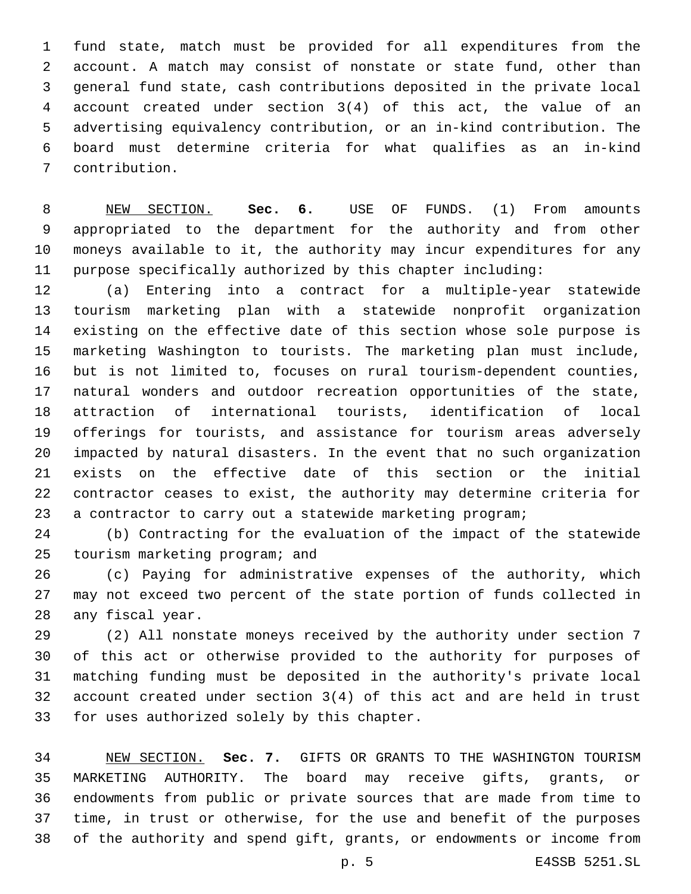fund state, match must be provided for all expenditures from the account. A match may consist of nonstate or state fund, other than general fund state, cash contributions deposited in the private local account created under section 3(4) of this act, the value of an advertising equivalency contribution, or an in-kind contribution. The board must determine criteria for what qualifies as an in-kind contribution.7

 NEW SECTION. **Sec. 6.** USE OF FUNDS. (1) From amounts appropriated to the department for the authority and from other moneys available to it, the authority may incur expenditures for any purpose specifically authorized by this chapter including:

 (a) Entering into a contract for a multiple-year statewide tourism marketing plan with a statewide nonprofit organization existing on the effective date of this section whose sole purpose is marketing Washington to tourists. The marketing plan must include, but is not limited to, focuses on rural tourism-dependent counties, natural wonders and outdoor recreation opportunities of the state, attraction of international tourists, identification of local offerings for tourists, and assistance for tourism areas adversely impacted by natural disasters. In the event that no such organization exists on the effective date of this section or the initial contractor ceases to exist, the authority may determine criteria for a contractor to carry out a statewide marketing program;

 (b) Contracting for the evaluation of the impact of the statewide 25 tourism marketing program; and

 (c) Paying for administrative expenses of the authority, which may not exceed two percent of the state portion of funds collected in 28 any fiscal year.

 (2) All nonstate moneys received by the authority under section 7 of this act or otherwise provided to the authority for purposes of matching funding must be deposited in the authority's private local account created under section 3(4) of this act and are held in trust 33 for uses authorized solely by this chapter.

 NEW SECTION. **Sec. 7.** GIFTS OR GRANTS TO THE WASHINGTON TOURISM MARKETING AUTHORITY. The board may receive gifts, grants, or endowments from public or private sources that are made from time to time, in trust or otherwise, for the use and benefit of the purposes of the authority and spend gift, grants, or endowments or income from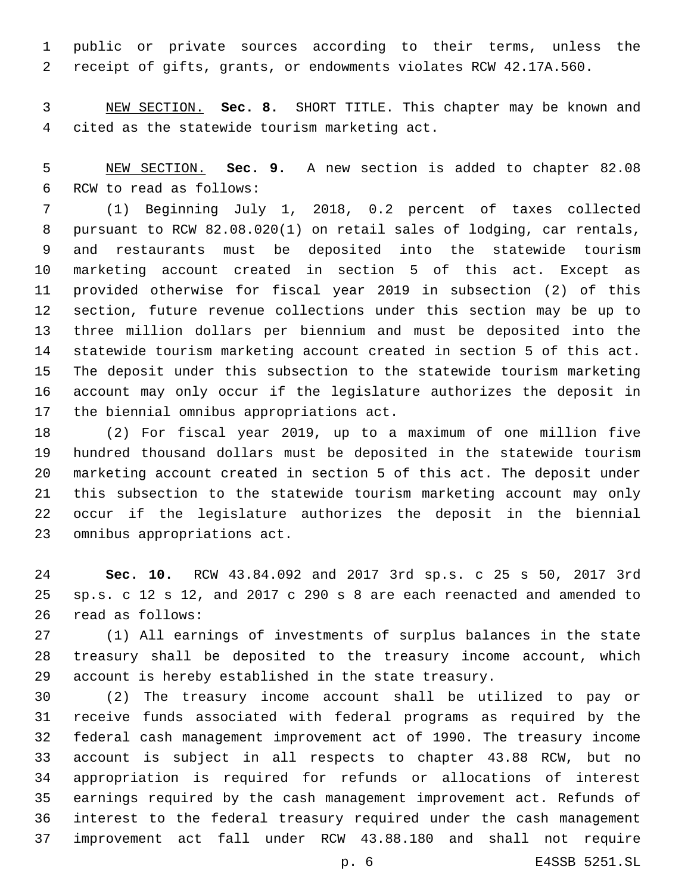public or private sources according to their terms, unless the receipt of gifts, grants, or endowments violates RCW 42.17A.560.

 NEW SECTION. **Sec. 8.** SHORT TITLE. This chapter may be known and cited as the statewide tourism marketing act.

 NEW SECTION. **Sec. 9.** A new section is added to chapter 82.08 6 RCW to read as follows:

 (1) Beginning July 1, 2018, 0.2 percent of taxes collected pursuant to RCW 82.08.020(1) on retail sales of lodging, car rentals, and restaurants must be deposited into the statewide tourism marketing account created in section 5 of this act. Except as provided otherwise for fiscal year 2019 in subsection (2) of this section, future revenue collections under this section may be up to three million dollars per biennium and must be deposited into the statewide tourism marketing account created in section 5 of this act. The deposit under this subsection to the statewide tourism marketing account may only occur if the legislature authorizes the deposit in 17 the biennial omnibus appropriations act.

 (2) For fiscal year 2019, up to a maximum of one million five hundred thousand dollars must be deposited in the statewide tourism marketing account created in section 5 of this act. The deposit under this subsection to the statewide tourism marketing account may only occur if the legislature authorizes the deposit in the biennial 23 omnibus appropriations act.

 **Sec. 10.** RCW 43.84.092 and 2017 3rd sp.s. c 25 s 50, 2017 3rd sp.s. c 12 s 12, and 2017 c 290 s 8 are each reenacted and amended to 26 read as follows:

 (1) All earnings of investments of surplus balances in the state treasury shall be deposited to the treasury income account, which account is hereby established in the state treasury.

 (2) The treasury income account shall be utilized to pay or receive funds associated with federal programs as required by the federal cash management improvement act of 1990. The treasury income account is subject in all respects to chapter 43.88 RCW, but no appropriation is required for refunds or allocations of interest earnings required by the cash management improvement act. Refunds of interest to the federal treasury required under the cash management improvement act fall under RCW 43.88.180 and shall not require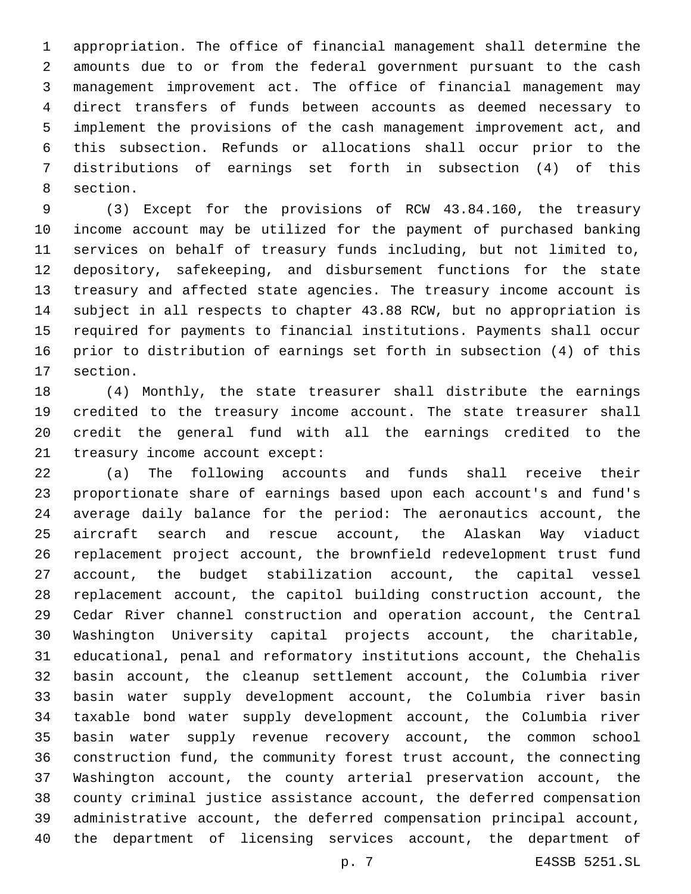appropriation. The office of financial management shall determine the amounts due to or from the federal government pursuant to the cash management improvement act. The office of financial management may direct transfers of funds between accounts as deemed necessary to implement the provisions of the cash management improvement act, and this subsection. Refunds or allocations shall occur prior to the distributions of earnings set forth in subsection (4) of this 8 section.

 (3) Except for the provisions of RCW 43.84.160, the treasury income account may be utilized for the payment of purchased banking services on behalf of treasury funds including, but not limited to, depository, safekeeping, and disbursement functions for the state treasury and affected state agencies. The treasury income account is subject in all respects to chapter 43.88 RCW, but no appropriation is required for payments to financial institutions. Payments shall occur prior to distribution of earnings set forth in subsection (4) of this 17 section.

 (4) Monthly, the state treasurer shall distribute the earnings credited to the treasury income account. The state treasurer shall credit the general fund with all the earnings credited to the 21 treasury income account except:

 (a) The following accounts and funds shall receive their proportionate share of earnings based upon each account's and fund's average daily balance for the period: The aeronautics account, the aircraft search and rescue account, the Alaskan Way viaduct replacement project account, the brownfield redevelopment trust fund account, the budget stabilization account, the capital vessel replacement account, the capitol building construction account, the Cedar River channel construction and operation account, the Central Washington University capital projects account, the charitable, educational, penal and reformatory institutions account, the Chehalis basin account, the cleanup settlement account, the Columbia river basin water supply development account, the Columbia river basin taxable bond water supply development account, the Columbia river basin water supply revenue recovery account, the common school construction fund, the community forest trust account, the connecting Washington account, the county arterial preservation account, the county criminal justice assistance account, the deferred compensation administrative account, the deferred compensation principal account, the department of licensing services account, the department of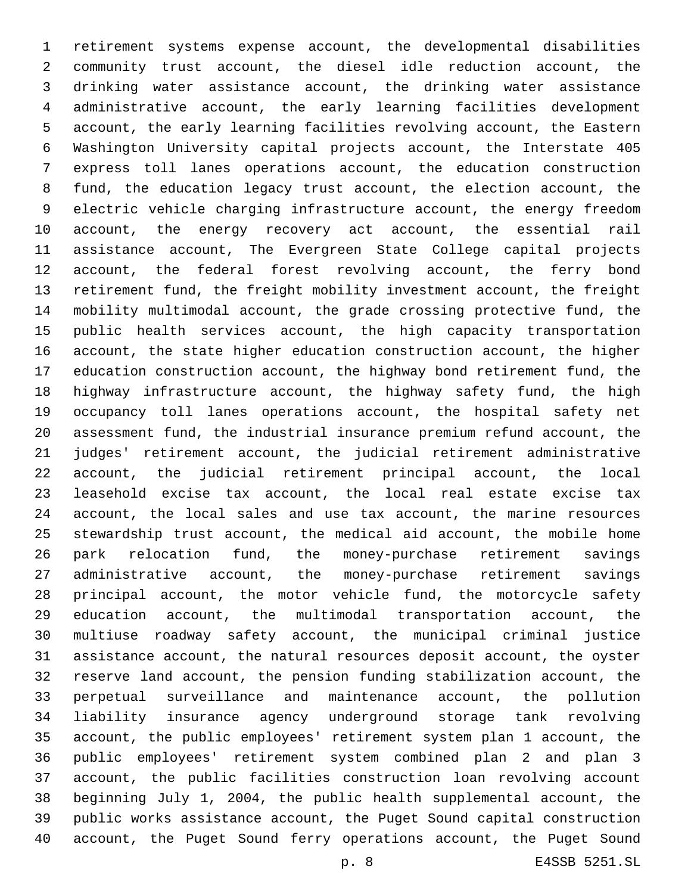retirement systems expense account, the developmental disabilities community trust account, the diesel idle reduction account, the drinking water assistance account, the drinking water assistance administrative account, the early learning facilities development account, the early learning facilities revolving account, the Eastern Washington University capital projects account, the Interstate 405 express toll lanes operations account, the education construction fund, the education legacy trust account, the election account, the electric vehicle charging infrastructure account, the energy freedom account, the energy recovery act account, the essential rail assistance account, The Evergreen State College capital projects account, the federal forest revolving account, the ferry bond retirement fund, the freight mobility investment account, the freight mobility multimodal account, the grade crossing protective fund, the public health services account, the high capacity transportation account, the state higher education construction account, the higher education construction account, the highway bond retirement fund, the highway infrastructure account, the highway safety fund, the high occupancy toll lanes operations account, the hospital safety net assessment fund, the industrial insurance premium refund account, the judges' retirement account, the judicial retirement administrative account, the judicial retirement principal account, the local leasehold excise tax account, the local real estate excise tax account, the local sales and use tax account, the marine resources stewardship trust account, the medical aid account, the mobile home park relocation fund, the money-purchase retirement savings administrative account, the money-purchase retirement savings principal account, the motor vehicle fund, the motorcycle safety education account, the multimodal transportation account, the multiuse roadway safety account, the municipal criminal justice assistance account, the natural resources deposit account, the oyster reserve land account, the pension funding stabilization account, the perpetual surveillance and maintenance account, the pollution liability insurance agency underground storage tank revolving account, the public employees' retirement system plan 1 account, the public employees' retirement system combined plan 2 and plan 3 account, the public facilities construction loan revolving account beginning July 1, 2004, the public health supplemental account, the public works assistance account, the Puget Sound capital construction account, the Puget Sound ferry operations account, the Puget Sound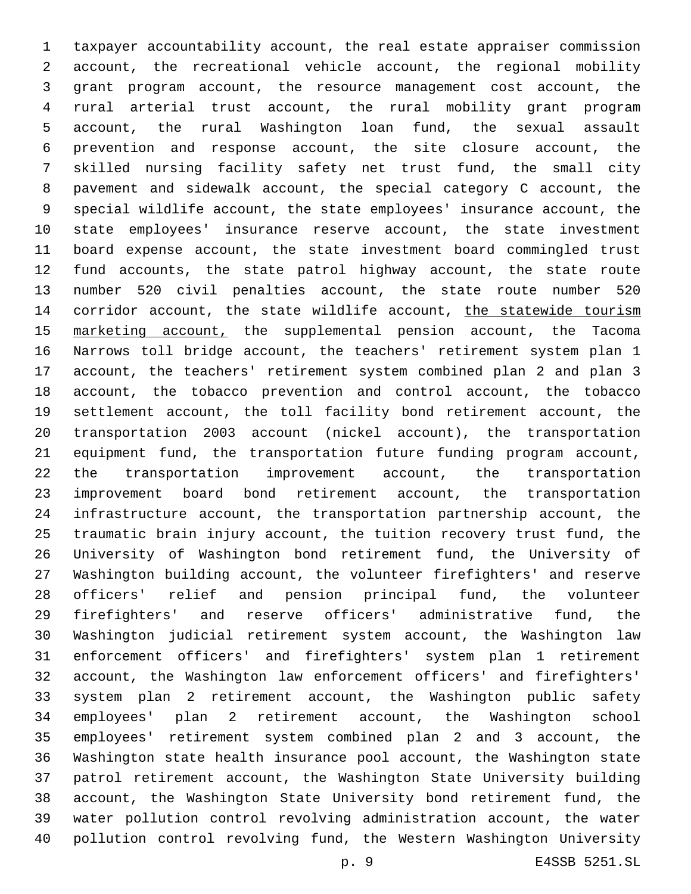taxpayer accountability account, the real estate appraiser commission account, the recreational vehicle account, the regional mobility grant program account, the resource management cost account, the rural arterial trust account, the rural mobility grant program account, the rural Washington loan fund, the sexual assault prevention and response account, the site closure account, the skilled nursing facility safety net trust fund, the small city pavement and sidewalk account, the special category C account, the special wildlife account, the state employees' insurance account, the state employees' insurance reserve account, the state investment board expense account, the state investment board commingled trust fund accounts, the state patrol highway account, the state route number 520 civil penalties account, the state route number 520 14 corridor account, the state wildlife account, the statewide tourism 15 marketing account, the supplemental pension account, the Tacoma Narrows toll bridge account, the teachers' retirement system plan 1 account, the teachers' retirement system combined plan 2 and plan 3 account, the tobacco prevention and control account, the tobacco settlement account, the toll facility bond retirement account, the transportation 2003 account (nickel account), the transportation equipment fund, the transportation future funding program account, the transportation improvement account, the transportation improvement board bond retirement account, the transportation infrastructure account, the transportation partnership account, the traumatic brain injury account, the tuition recovery trust fund, the University of Washington bond retirement fund, the University of Washington building account, the volunteer firefighters' and reserve officers' relief and pension principal fund, the volunteer firefighters' and reserve officers' administrative fund, the Washington judicial retirement system account, the Washington law enforcement officers' and firefighters' system plan 1 retirement account, the Washington law enforcement officers' and firefighters' system plan 2 retirement account, the Washington public safety employees' plan 2 retirement account, the Washington school employees' retirement system combined plan 2 and 3 account, the Washington state health insurance pool account, the Washington state patrol retirement account, the Washington State University building account, the Washington State University bond retirement fund, the water pollution control revolving administration account, the water pollution control revolving fund, the Western Washington University